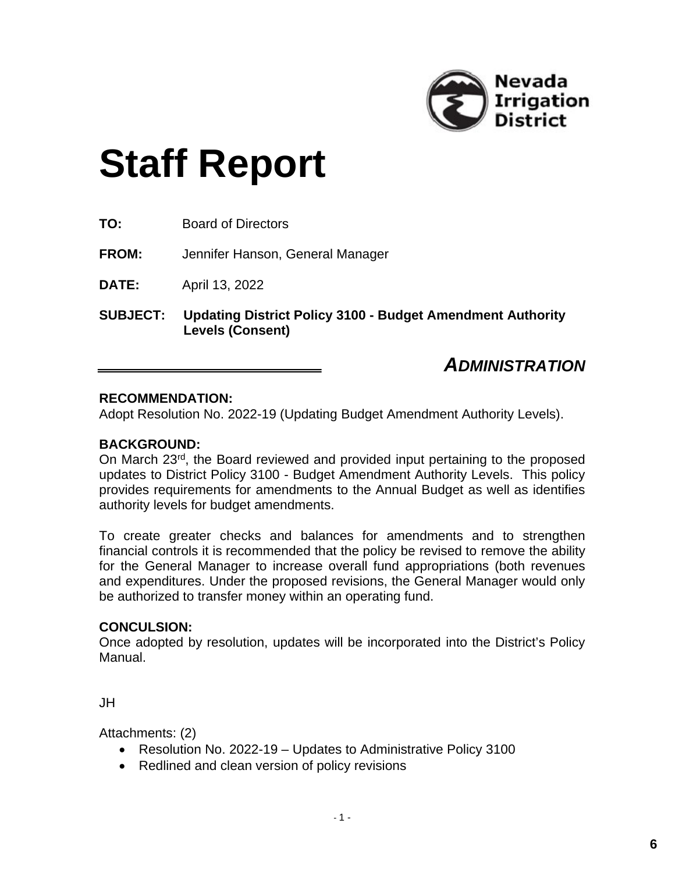

# **Staff Report**

| <b>Board of Directors</b> |
|---------------------------|
|                           |
|                           |

**FROM:** Jennifer Hanson, General Manager

**DATE:** April 13, 2022

**SUBJECT: Updating District Policy 3100 - Budget Amendment Authority Levels (Consent)**

# *ADMINISTRATION*

### **RECOMMENDATION:**

Adopt Resolution No. 2022-19 (Updating Budget Amendment Authority Levels).

## **BACKGROUND:**

On March 23<sup>rd</sup>, the Board reviewed and provided input pertaining to the proposed updates to District Policy 3100 - Budget Amendment Authority Levels. This policy provides requirements for amendments to the Annual Budget as well as identifies authority levels for budget amendments.

To create greater checks and balances for amendments and to strengthen financial controls it is recommended that the policy be revised to remove the ability for the General Manager to increase overall fund appropriations (both revenues and expenditures. Under the proposed revisions, the General Manager would only be authorized to transfer money within an operating fund.

#### **CONCULSION:**

Once adopted by resolution, updates will be incorporated into the District's Policy Manual.

JH

Attachments: (2)

- Resolution No. 2022-19 Updates to Administrative Policy 3100
- Redlined and clean version of policy revisions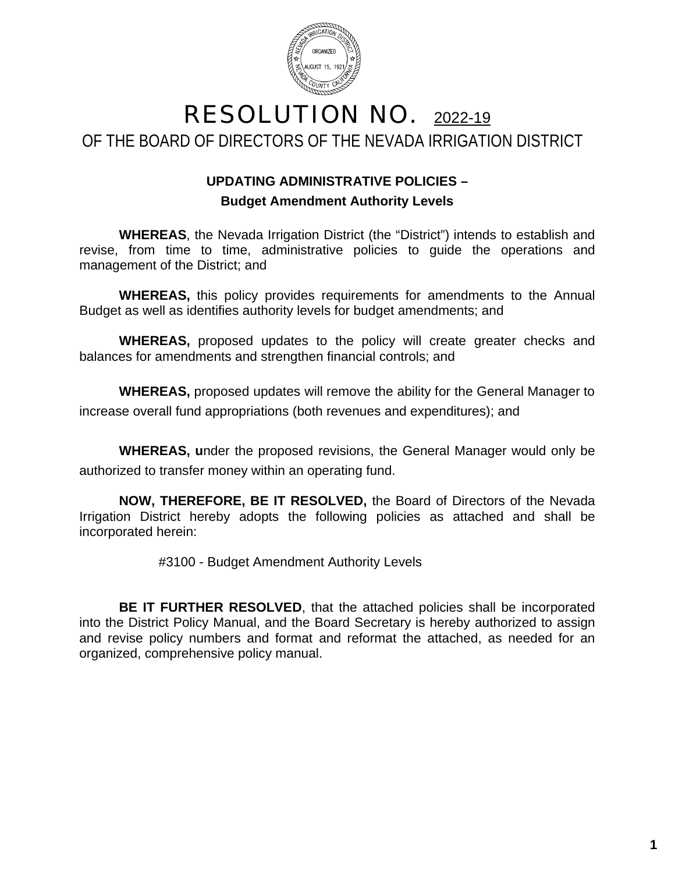

# RESOLUTION NO. 2022-19 OF THE BOARD OF DIRECTORS OF THE NEVADA IRRIGATION DISTRICT

# **UPDATING ADMINISTRATIVE POLICIES – Budget Amendment Authority Levels**

**WHEREAS**, the Nevada Irrigation District (the "District") intends to establish and revise, from time to time, administrative policies to guide the operations and management of the District; and

**WHEREAS,** this policy provides requirements for amendments to the Annual Budget as well as identifies authority levels for budget amendments; and

**WHEREAS,** proposed updates to the policy will create greater checks and balances for amendments and strengthen financial controls; and

**WHEREAS,** proposed updates will remove the ability for the General Manager to increase overall fund appropriations (both revenues and expenditures); and

**WHEREAS, u**nder the proposed revisions, the General Manager would only be authorized to transfer money within an operating fund.

**NOW, THEREFORE, BE IT RESOLVED,** the Board of Directors of the Nevada Irrigation District hereby adopts the following policies as attached and shall be incorporated herein:

#3100 - Budget Amendment Authority Levels

**BE IT FURTHER RESOLVED**, that the attached policies shall be incorporated into the District Policy Manual, and the Board Secretary is hereby authorized to assign and revise policy numbers and format and reformat the attached, as needed for an organized, comprehensive policy manual.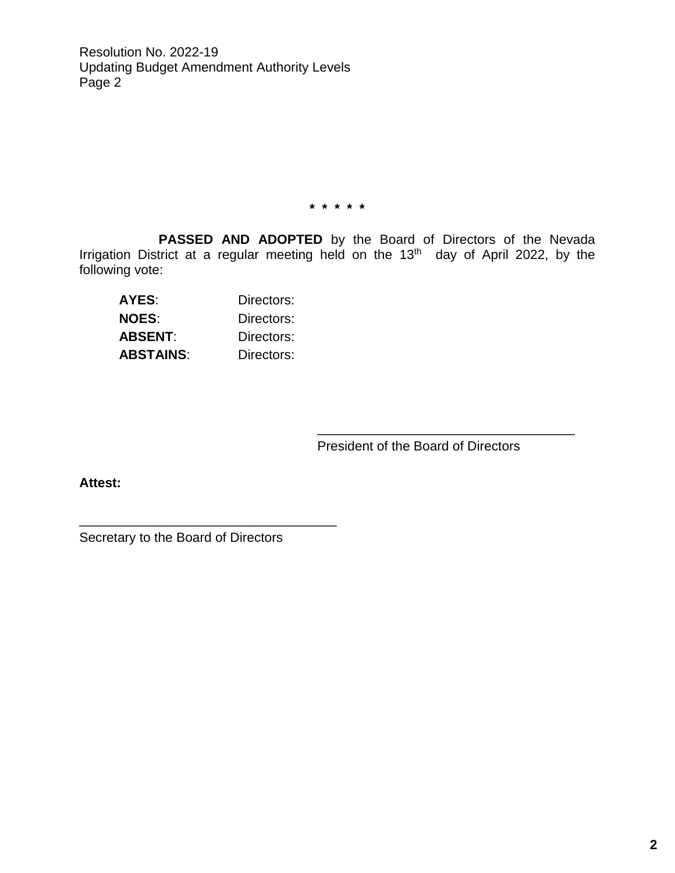Resolution No. 2022-19 Updating Budget Amendment Authority Levels Page 2

**\* \* \* \* \***

**PASSED AND ADOPTED** by the Board of Directors of the Nevada Irrigation District at a regular meeting held on the 13<sup>th</sup> day of April 2022, by the following vote:

| AYES:        | Directors: |
|--------------|------------|
| <b>NOES:</b> | Directors: |
| ABSENT:      | Directors: |
| ABSTAINS:    | Directors: |

President of the Board of Directors

\_\_\_\_\_\_\_\_\_\_\_\_\_\_\_\_\_\_\_\_\_\_\_\_\_\_\_\_\_\_\_\_\_\_\_

**Attest:**

Secretary to the Board of Directors

\_\_\_\_\_\_\_\_\_\_\_\_\_\_\_\_\_\_\_\_\_\_\_\_\_\_\_\_\_\_\_\_\_\_\_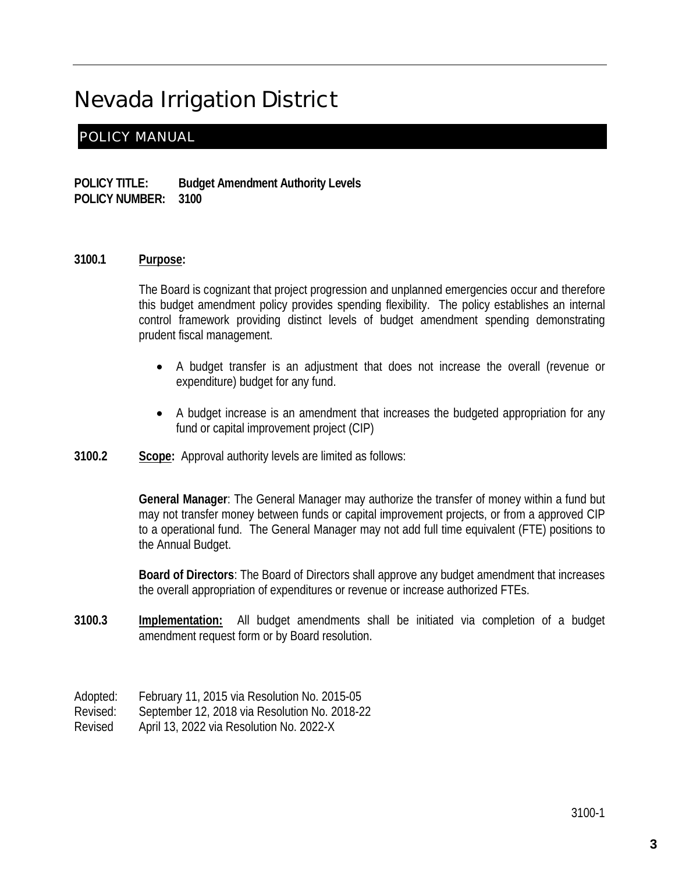# Nevada Irrigation District

## POLICY MANUAL

**POLICY TITLE: Budget Amendment Authority Levels POLICY NUMBER: 3100**

#### **3100.1 Purpose:**

The Board is cognizant that project progression and unplanned emergencies occur and therefore this budget amendment policy provides spending flexibility. The policy establishes an internal control framework providing distinct levels of budget amendment spending demonstrating prudent fiscal management.

- A budget transfer is an adjustment that does not increase the overall (revenue or expenditure) budget for any fund.
- A budget increase is an amendment that increases the budgeted appropriation for any fund or capital improvement project (CIP)
- **3100.2 Scope:** Approval authority levels are limited as follows:

**General Manager**: The General Manager may authorize the transfer of money within a fund but may not transfer money between funds or capital improvement projects, or from a approved CIP to a operational fund. The General Manager may not add full time equivalent (FTE) positions to the Annual Budget.

**Board of Directors**: The Board of Directors shall approve any budget amendment that increases the overall appropriation of expenditures or revenue or increase authorized FTEs.

**3100.3 Implementation:** All budget amendments shall be initiated via completion of a budget amendment request form or by Board resolution.

Adopted: February 11, 2015 via Resolution No. 2015-05 Revised: September 12, 2018 via Resolution No. 2018-22 Revised April 13, 2022 via Resolution No. 2022-X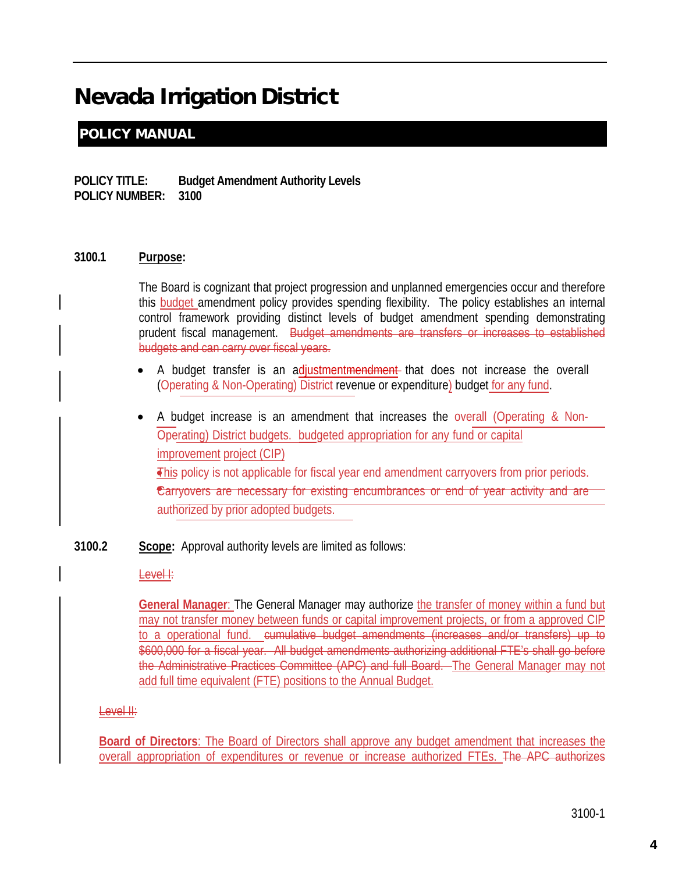# Nevada Irrigation District

# POLICY MANUAL

**POLICY TITLE: Budget Amendment Authority Levels POLICY NUMBER: 3100**

#### **3100.1 Purpose:**

The Board is cognizant that project progression and unplanned emergencies occur and therefore this budget amendment policy provides spending flexibility. The policy establishes an internal control framework providing distinct levels of budget amendment spending demonstrating prudent fiscal management. Budget amendments are transfers or increases to established budgets and can carry over fiscal years.

- A budget transfer is an adjustmentmendment that does not increase the overall (Operating & Non-Operating) District revenue or expenditure) budget for any fund.
- This policy is not applicable for fiscal year end amendment carryovers from prior periods. • Carryovers are necessary for existing encumbrances or end of year activity and are • A budget increase is an amendment that increases the overall (Operating & Non-Operating) District budgets. budgeted appropriation for any fund or capital improvement project (CIP) authorized by prior adopted budgets.
- **3100.2 Scope:** Approval authority levels are limited as follows:

#### Level I:

**General Manager**: The General Manager may authorize the transfer of money within a fund but may not transfer money between funds or capital improvement projects, or from a approved CIP to a operational fund. cumulative budget amendments (increases and/or transfers) up to \$600,000 for a fiscal year. All budget amendments authorizing additional FTE's shall go before the Administrative Practices Committee (APC) and full Board. The General Manager may not add full time equivalent (FTE) positions to the Annual Budget.

## Level II:

**Board of Directors**: The Board of Directors shall approve any budget amendment that increases the overall appropriation of expenditures or revenue or increase authorized FTEs. The APC authorizes